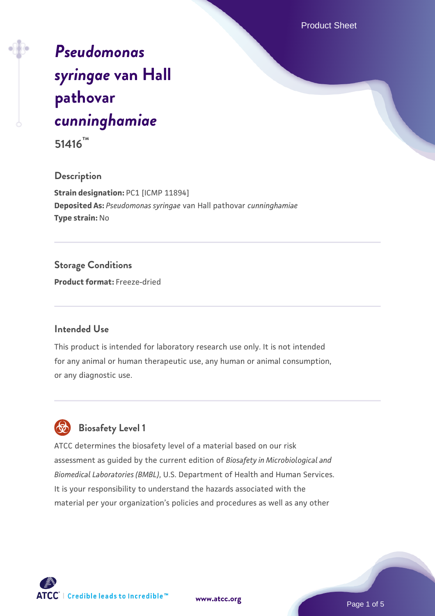Product Sheet

# *[Pseudomonas](https://www.atcc.org/products/51416) [syringae](https://www.atcc.org/products/51416)* **[van Hall](https://www.atcc.org/products/51416) [pathovar](https://www.atcc.org/products/51416)** *[cunninghamiae](https://www.atcc.org/products/51416)*

**51416™**

#### **Description**

**Strain designation:** PC1 [ICMP 11894] **Deposited As:** *Pseudomonas syringae* van Hall pathovar *cunninghamiae* **Type strain:** No

### **Storage Conditions**

**Product format:** Freeze-dried

#### **Intended Use**

This product is intended for laboratory research use only. It is not intended for any animal or human therapeutic use, any human or animal consumption, or any diagnostic use.

# **Biosafety Level 1**

ATCC determines the biosafety level of a material based on our risk assessment as guided by the current edition of *Biosafety in Microbiological and Biomedical Laboratories (BMBL)*, U.S. Department of Health and Human Services. It is your responsibility to understand the hazards associated with the material per your organization's policies and procedures as well as any other



**[www.atcc.org](http://www.atcc.org)**

Page 1 of 5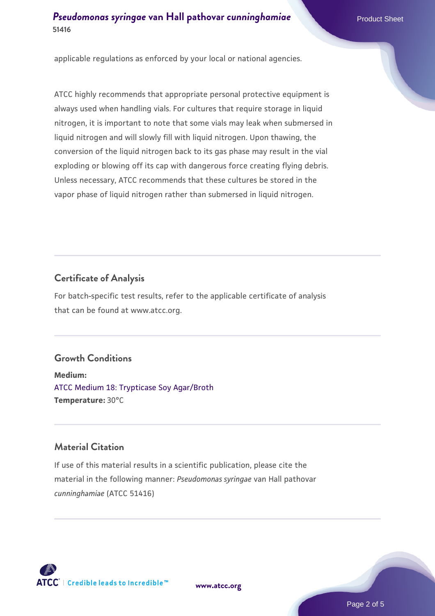applicable regulations as enforced by your local or national agencies.

ATCC highly recommends that appropriate personal protective equipment is always used when handling vials. For cultures that require storage in liquid nitrogen, it is important to note that some vials may leak when submersed in liquid nitrogen and will slowly fill with liquid nitrogen. Upon thawing, the conversion of the liquid nitrogen back to its gas phase may result in the vial exploding or blowing off its cap with dangerous force creating flying debris. Unless necessary, ATCC recommends that these cultures be stored in the vapor phase of liquid nitrogen rather than submersed in liquid nitrogen.

#### **Certificate of Analysis**

For batch-specific test results, refer to the applicable certificate of analysis that can be found at www.atcc.org.

#### **Growth Conditions**

**Medium:**  [ATCC Medium 18: Trypticase Soy Agar/Broth](https://www.atcc.org/-/media/product-assets/documents/microbial-media-formulations/1/8/atcc-medium-18.pdf?rev=832846e1425841f19fc70569848edae7) **Temperature:** 30°C

#### **Material Citation**

If use of this material results in a scientific publication, please cite the material in the following manner: *Pseudomonas syringae* van Hall pathovar *cunninghamiae* (ATCC 51416)



**[www.atcc.org](http://www.atcc.org)**

Page 2 of 5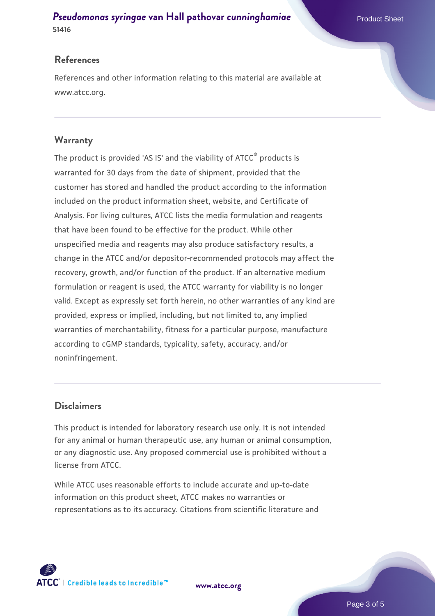#### **References**

References and other information relating to this material are available at www.atcc.org.

#### **Warranty**

The product is provided 'AS IS' and the viability of ATCC® products is warranted for 30 days from the date of shipment, provided that the customer has stored and handled the product according to the information included on the product information sheet, website, and Certificate of Analysis. For living cultures, ATCC lists the media formulation and reagents that have been found to be effective for the product. While other unspecified media and reagents may also produce satisfactory results, a change in the ATCC and/or depositor-recommended protocols may affect the recovery, growth, and/or function of the product. If an alternative medium formulation or reagent is used, the ATCC warranty for viability is no longer valid. Except as expressly set forth herein, no other warranties of any kind are provided, express or implied, including, but not limited to, any implied warranties of merchantability, fitness for a particular purpose, manufacture according to cGMP standards, typicality, safety, accuracy, and/or noninfringement.

#### **Disclaimers**

This product is intended for laboratory research use only. It is not intended for any animal or human therapeutic use, any human or animal consumption, or any diagnostic use. Any proposed commercial use is prohibited without a license from ATCC.

While ATCC uses reasonable efforts to include accurate and up-to-date information on this product sheet, ATCC makes no warranties or representations as to its accuracy. Citations from scientific literature and



**[www.atcc.org](http://www.atcc.org)**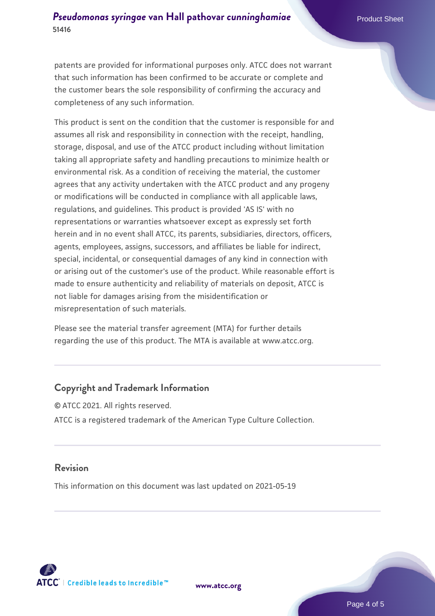patents are provided for informational purposes only. ATCC does not warrant that such information has been confirmed to be accurate or complete and the customer bears the sole responsibility of confirming the accuracy and completeness of any such information.

This product is sent on the condition that the customer is responsible for and assumes all risk and responsibility in connection with the receipt, handling, storage, disposal, and use of the ATCC product including without limitation taking all appropriate safety and handling precautions to minimize health or environmental risk. As a condition of receiving the material, the customer agrees that any activity undertaken with the ATCC product and any progeny or modifications will be conducted in compliance with all applicable laws, regulations, and guidelines. This product is provided 'AS IS' with no representations or warranties whatsoever except as expressly set forth herein and in no event shall ATCC, its parents, subsidiaries, directors, officers, agents, employees, assigns, successors, and affiliates be liable for indirect, special, incidental, or consequential damages of any kind in connection with or arising out of the customer's use of the product. While reasonable effort is made to ensure authenticity and reliability of materials on deposit, ATCC is not liable for damages arising from the misidentification or misrepresentation of such materials.

Please see the material transfer agreement (MTA) for further details regarding the use of this product. The MTA is available at www.atcc.org.

#### **Copyright and Trademark Information**

© ATCC 2021. All rights reserved. ATCC is a registered trademark of the American Type Culture Collection.

#### **Revision**

This information on this document was last updated on 2021-05-19



**[www.atcc.org](http://www.atcc.org)**